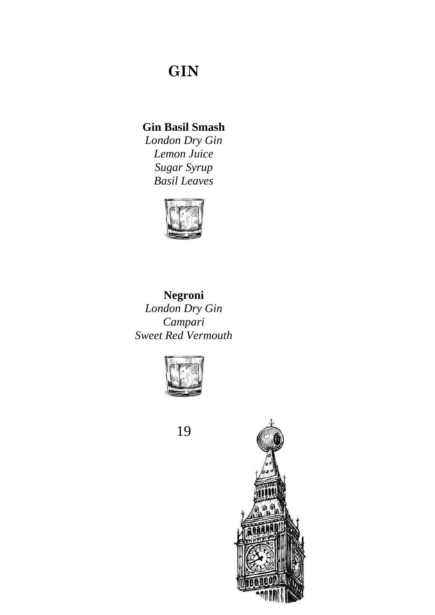# **GIN**

## **Gin Basil Smash**

*London Dry Gin Lemon Juice Sugar Syrup Basil Leaves*



**Negroni** *London Dry Gin Campari Sweet Red Vermouth*



19

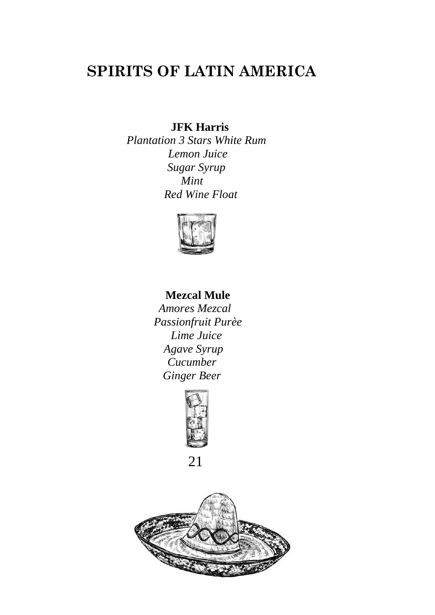## **SPIRITS OF LATIN AMERICA**

**JFK Harris**

*Plantation 3 Stars White Rum Lemon Juice Sugar Syrup Mint Red Wine Float*



### **Mezcal Mule**

 *Amores Mezcal Passionfruit Purèe Lime Juice Agave Syrup Cucumber Ginger Beer*





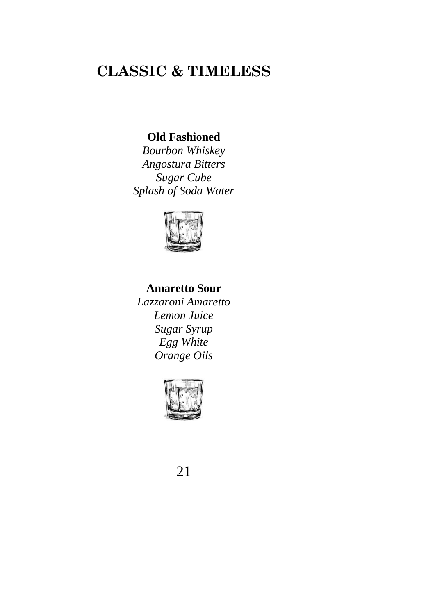## **CLASSIC & TIMELESS**

### **Old Fashioned**

*Bourbon Whiskey Angostura Bitters Sugar Cube Splash of Soda Water*



### **Amaretto Sour**

*Lazzaroni Amaretto Lemon Juice Sugar Syrup Egg White Orange Oils*



21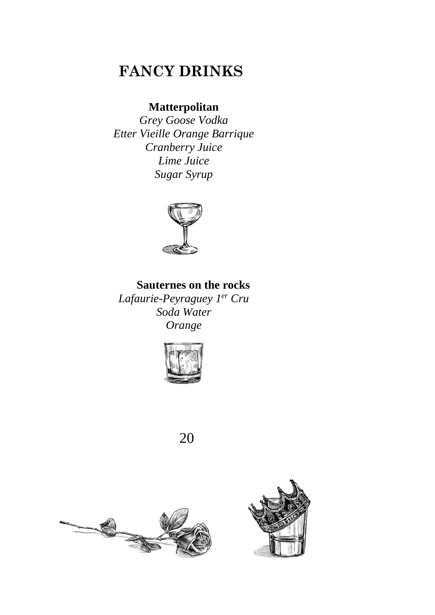## **FANCY DRINKS**

### **Matterpolitan**

*Grey Goose Vodka Etter Vieille Orange Barrique Cranberry Juice Lime Juice Sugar Syrup*



### **Sauternes on the rocks**

*Lafaurie-Peyraguey 1er Cru Soda Water Orange*



20



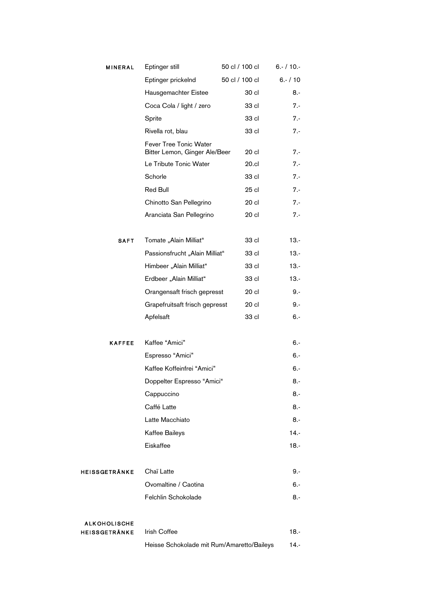| <b>MINERAL</b>       | Eptinger still                                          | 50 cl / 100 cl | $6. - 10. -$ |
|----------------------|---------------------------------------------------------|----------------|--------------|
|                      | Eptinger prickelnd                                      | 50 cl / 100 cl | $6. - 10$    |
|                      | Hausgemachter Eistee                                    | 30 cl          | $8 -$        |
|                      | Coca Cola / light / zero                                | 33 cl          | 7.-          |
|                      | Sprite                                                  | 33 cl          | $7 -$        |
|                      | Rivella rot, blau                                       | 33 cl          | $7 -$        |
|                      | Fever Tree Tonic Water<br>Bitter Lemon, Ginger Ale/Beer | 20 cl          | $7 -$        |
|                      | Le Tribute Tonic Water                                  | 20.cl          | $7 -$        |
|                      | Schorle                                                 | 33 cl          | $7 -$        |
|                      | Red Bull                                                | $25$ cl        | $7 -$        |
|                      | Chinotto San Pellegrino                                 | 20 cl          | $7 -$        |
|                      | Aranciata San Pellegrino                                | 20 cl          | $7 -$        |
| <b>SAFT</b>          | Tomate "Alain Milliat"                                  | 33 cl          | $13. -$      |
|                      | Passionsfrucht "Alain Milliat"                          | 33 cl          | $13. -$      |
|                      | Himbeer "Alain Milliat"                                 | 33 cl          | $13. -$      |
|                      | Erdbeer "Alain Milliat"                                 | 33 cl          | $13. -$      |
|                      | Orangensaft frisch gepresst                             | 20 cl          | $9 -$        |
|                      | Grapefruitsaft frisch gepresst                          | 20 cl          | 9.-          |
|                      | Apfelsaft                                               | 33 cl          | 6.-          |
| <b>KAFFEE</b>        | Kaffee "Amici"                                          |                | $6 -$        |
|                      | Espresso "Amici"                                        |                | 6.-          |
|                      | Kaffee Koffeinfrei "Amici"                              |                | 6.-          |
|                      | Doppelter Espresso "Amici"                              |                | 8.-          |
|                      | Cappuccino                                              |                | $8 -$        |
|                      | Caffé Latte                                             |                | 8.-          |
|                      | Latte Macchiato                                         |                | 8.-          |
|                      | Kaffee Baileys                                          |                | $14. -$      |
|                      | Eiskaffee                                               |                | $18. -$      |
| <b>HEISSGETRÄNKE</b> | Chaï Latte                                              |                | 9.-          |
|                      | Ovomaltine / Caotina                                    |                | 6.-          |
|                      | Felchlin Schokolade                                     |                | 8.-          |
| <b>ALKOHOLISCHE</b>  |                                                         |                |              |
| <b>HEISSGETRÄNKE</b> | <b>Irish Coffee</b>                                     |                | 18.-         |
|                      | Heisse Schokolade mit Rum/Amaretto/Baileys              |                | 14.-         |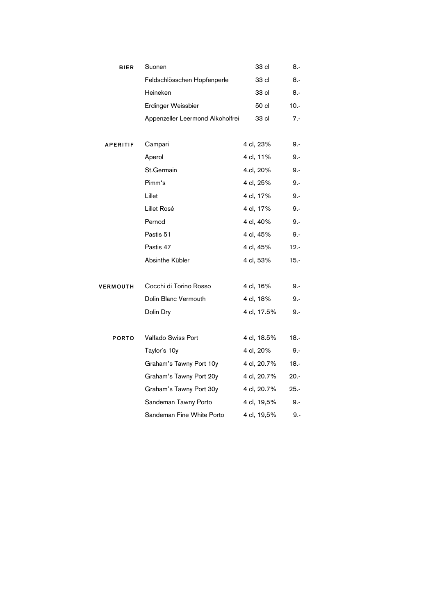| <b>BIER</b>     | Suonen                           | 33 cl       | 8.-     |
|-----------------|----------------------------------|-------------|---------|
|                 | Feldschlösschen Hopfenperle      | 33 cl       | 8.-     |
|                 | Heineken                         | 33 cl       | 8.-     |
|                 | Erdinger Weissbier               | 50 cl       | $10.-$  |
|                 | Appenzeller Leermond Alkoholfrei | 33 cl       | 7.-     |
| APERITIF        | Campari                          | 4 cl, 23%   | 9.-     |
|                 | Aperol                           | 4 cl, 11%   | 9.-     |
|                 | St.Germain                       | 4.cl, 20%   | 9.-     |
|                 | Pimm's                           | 4 cl, 25%   | 9.-     |
|                 | Lillet                           | 4 cl, 17%   | 9.-     |
|                 | Lillet Rosé                      | 4 cl, 17%   | 9.-     |
|                 | Pernod                           | 4 cl, 40%   | 9.-     |
|                 | Pastis 51                        | 4 cl, 45%   | $9 -$   |
|                 | Pastis 47                        | 4 cl, 45%   | $12. -$ |
|                 | Absinthe Kübler                  | 4 cl, 53%   | $15. -$ |
|                 |                                  |             |         |
| <b>VERMOUTH</b> | Cocchi di Torino Rosso           | 4 cl, 16%   | 9.-     |
|                 | Dolin Blanc Vermouth             | 4 cl, 18%   | 9.-     |
|                 | Dolin Dry                        | 4 cl, 17.5% | 9.-     |
|                 |                                  |             |         |
| <b>PORTO</b>    | Valfado Swiss Port               | 4 cl, 18.5% | $18. -$ |
|                 | Taylor's 10y                     | 4 cl, 20%   | 9.-     |
|                 | Graham's Tawny Port 10y          | 4 cl, 20.7% | $18. -$ |
|                 | Graham's Tawny Port 20y          | 4 cl, 20.7% | $20. -$ |
|                 | Graham's Tawny Port 30y          | 4 cl, 20.7% | $25. -$ |
|                 | Sandeman Tawny Porto             | 4 cl, 19,5% | 9.-     |
|                 | Sandeman Fine White Porto        | 4 cl, 19,5% | $9. -$  |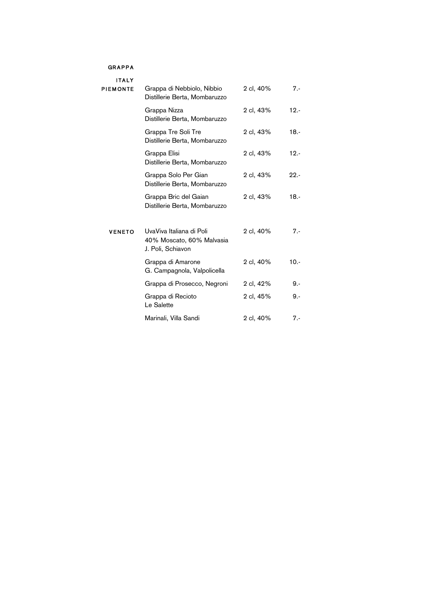#### **GRAPPA**

#### **ITALY**

| <b>PIEMONTE</b> | Grappa di Nebbiolo, Nibbio<br>Distillerie Berta, Mombaruzzo                | 2 cl, 40% | $7 -$   |
|-----------------|----------------------------------------------------------------------------|-----------|---------|
|                 | Grappa Nizza<br>Distillerie Berta, Mombaruzzo                              | 2 cl, 43% | $12. -$ |
|                 | Grappa Tre Soli Tre<br>Distillerie Berta, Mombaruzzo                       | 2 cl, 43% | $18. -$ |
|                 | Grappa Elisi<br>Distillerie Berta, Mombaruzzo                              | 2 cl, 43% | $12. -$ |
|                 | Grappa Solo Per Gian<br>Distillerie Berta, Mombaruzzo                      | 2 cl, 43% | $22 -$  |
|                 | Grappa Bric del Gaian<br>Distillerie Berta, Mombaruzzo                     | 2 cl, 43% | $18. -$ |
| <b>VENETO</b>   | UvaViva Italiana di Poli<br>40% Moscato, 60% Malvasia<br>J. Poli, Schiavon | 2 cl, 40% | $7 -$   |
|                 | Grappa di Amarone<br>G. Campagnola, Valpolicella                           | 2 cl, 40% | $10. -$ |
|                 | Grappa di Prosecco, Negroni                                                | 2 cl, 42% | 9.-     |
|                 | Grappa di Recioto<br>Le Salette                                            | 2 cl, 45% | $9 -$   |
|                 | Marinali, Villa Sandi                                                      | 2 cl, 40% | $7 -$   |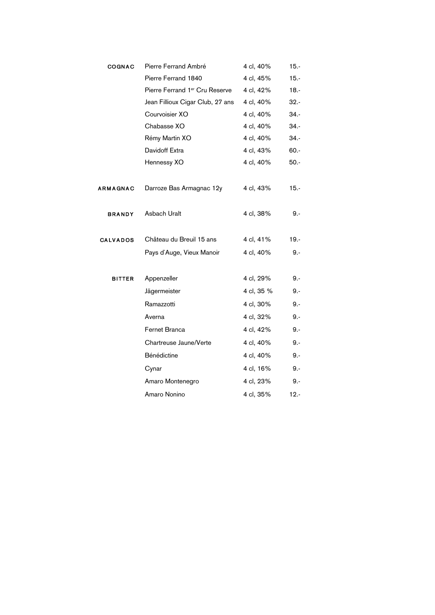| <b>COGNAC</b>   | Pierre Ferrand Ambré             | 4 cl, 40%  | $15. -$ |
|-----------------|----------------------------------|------------|---------|
|                 | Pierre Ferrand 1840              | 4 cl, 45%  | $15. -$ |
|                 | Pierre Ferrand 1er Cru Reserve   | 4 cl, 42%  | $18. -$ |
|                 | Jean Fillioux Cigar Club, 27 ans | 4 cl, 40%  | $32 -$  |
|                 | Courvoisier XO                   | 4 cl, 40%  | 34.-    |
|                 | Chabasse XO                      | 4 cl, 40%  | $34. -$ |
|                 | Rémy Martin XO                   | 4 cl, 40%  | $34. -$ |
|                 | Davidoff Extra                   | 4 cl, 43%  | 60.-    |
|                 | Hennessy XO                      | 4 cl, 40%  | $50. -$ |
|                 |                                  |            |         |
| <b>ARMAGNAC</b> | Darroze Bas Armagnac 12y         | 4 cl, 43%  | $15. -$ |
|                 |                                  |            |         |
| <b>BRANDY</b>   | Asbach Uralt                     | 4 cl, 38%  | 9.-     |
|                 |                                  |            |         |
| <b>CALVADOS</b> | Château du Breuil 15 ans         | 4 cl, 41%  | $19. -$ |
|                 | Pays d'Auge, Vieux Manoir        | 4 cl, 40%  | $9 -$   |
|                 |                                  |            |         |
| <b>BITTER</b>   | Appenzeller                      | 4 cl, 29%  | $9 -$   |
|                 | Jägermeister                     | 4 cl, 35 % | 9.-     |
|                 | Ramazzotti                       | 4 cl, 30%  | $9 -$   |
|                 | Averna                           | 4 cl, 32%  | $9 -$   |
|                 | Fernet Branca                    | 4 cl, 42%  | 9.-     |
|                 | Chartreuse Jaune/Verte           | 4 cl, 40%  | $9 -$   |
|                 | Bénédictine                      | 4 cl, 40%  | 9.-     |
|                 | Cynar                            | 4 cl, 16%  | $9 -$   |
|                 | Amaro Montenegro                 | 4 cl, 23%  | 9.-     |
|                 | Amaro Nonino                     | 4 cl, 35%  | $12. -$ |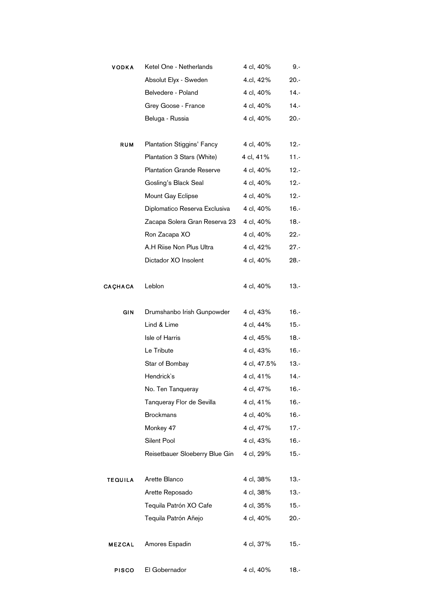| <b>VODKA</b>   | Ketel One - Netherlands          | 4 cl, 40%   | 9.-     |
|----------------|----------------------------------|-------------|---------|
|                | Absolut Elyx - Sweden            | 4.cl, 42%   | $20. -$ |
|                | Belvedere - Poland               | 4 cl, 40%   | $14. -$ |
|                | Grey Goose - France              | 4 cl, 40%   | $14. -$ |
|                | Beluga - Russia                  | 4 cl, 40%   | $20. -$ |
| <b>RUM</b>     | Plantation Stiggins' Fancy       | 4 cl, 40%   | $12. -$ |
|                | Plantation 3 Stars (White)       | 4 cl, 41%   | $11. -$ |
|                | <b>Plantation Grande Reserve</b> | 4 cl, 40%   | $12. -$ |
|                | Gosling's Black Seal             | 4 cl, 40%   | $12. -$ |
|                | Mount Gay Eclipse                | 4 cl, 40%   | $12. -$ |
|                | Diplomatico Reserva Exclusiva    | 4 cl, 40%   | $16. -$ |
|                | Zacapa Solera Gran Reserva 23    | 4 cl, 40%   | $18. -$ |
|                | Ron Zacapa XO                    | 4 cl, 40%   | $22. -$ |
|                | A.H Riise Non Plus Ultra         | 4 cl, 42%   | 27.-    |
|                | Dictador XO Insolent             | 4 cl, 40%   | 28.-    |
| <b>CAÇHACA</b> | Leblon                           | 4 cl, 40%   | 13.-    |
| GIN            | Drumshanbo Irish Gunpowder       | 4 cl, 43%   | $16. -$ |
|                | Lind & Lime                      | 4 cl, 44%   | $15. -$ |
|                | Isle of Harris                   | 4 cl, 45%   | $18. -$ |
|                | Le Tribute                       | 4 cl, 43%   | $16. -$ |
|                | Star of Bombay                   | 4 cl, 47.5% | $13. -$ |
|                | Hendrick's                       | 4 cl, 41%   | $14. -$ |
|                | No. Ten Tanqueray                | 4 cl, 47%   | $16. -$ |
|                | Tanqueray Flor de Sevilla        | 4 cl, 41%   | $16. -$ |
|                | <b>Brockmans</b>                 | 4 cl, 40%   | $16. -$ |
|                | Monkey 47                        | 4 cl, 47%   | $17. -$ |
|                | Silent Pool                      | 4 cl, 43%   | $16. -$ |
|                | Reisetbauer Sloeberry Blue Gin   | 4 cl, 29%   | $15. -$ |
| <b>TEQUILA</b> | Arette Blanco                    | 4 cl, 38%   | $13. -$ |
|                | Arette Reposado                  | 4 cl, 38%   | $13. -$ |
|                | Tequila Patrón XO Cafe           | 4 cl, 35%   | $15. -$ |
|                | Tequila Patrón Añejo             | 4 cl, 40%   | 20.-    |
| <b>MEZCAL</b>  | Amores Espadin                   | 4 cl, 37%   | $15. -$ |
| <b>PISCO</b>   | El Gobernador                    | 4 cl, 40%   | $18. -$ |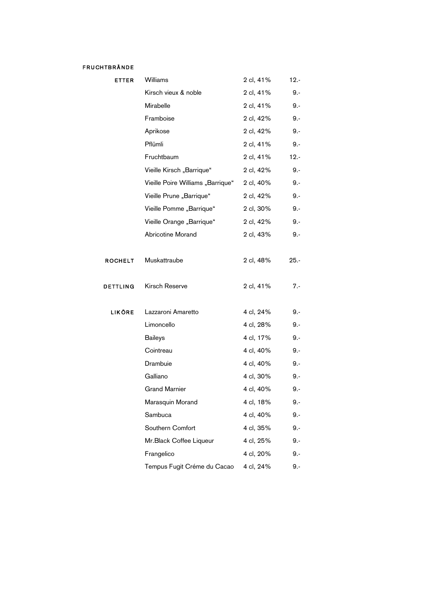#### FRUCHTBRÄNDE

| <b>ETTER</b>   | Williams                          | 2 cl, 41% | $12. -$ |
|----------------|-----------------------------------|-----------|---------|
|                | Kirsch vieux & noble              | 2 cl, 41% | $9 -$   |
|                | Mirabelle                         | 2 cl, 41% | 9.-     |
|                | Framboise                         | 2 cl, 42% | 9.-     |
|                | Aprikose                          | 2 cl, 42% | $9 -$   |
|                | Pflümli                           | 2 cl, 41% | $9 -$   |
|                | Fruchtbaum                        | 2 cl, 41% | $12. -$ |
|                | Vieille Kirsch "Barrique"         | 2 cl, 42% | $9 -$   |
|                | Vieille Poire Williams "Barrique" | 2 cl, 40% | $9 -$   |
|                | Vieille Prune "Barrique"          | 2 cl, 42% | $9 -$   |
|                | Vieille Pomme "Barrique"          | 2 cl, 30% | $9 -$   |
|                | Vieille Orange "Barrique"         | 2 cl, 42% | $9 -$   |
|                | Abricotine Morand                 | 2 cl, 43% | 9.-     |
|                |                                   |           |         |
| <b>ROCHELT</b> | Muskattraube                      | 2 cl, 48% | $25. -$ |
|                |                                   |           |         |
| DETTLING       | Kirsch Reserve                    | 2 cl, 41% | $7 -$   |
|                |                                   |           |         |
| <b>LIKÖRE</b>  | Lazzaroni Amaretto                | 4 cl, 24% | $9 -$   |
|                | Limoncello                        | 4 cl, 28% | 9.-     |
|                | <b>Baileys</b>                    | 4 cl, 17% | 9.-     |
|                | Cointreau                         | 4 cl, 40% | 9.-     |
|                | Drambuie                          | 4 cl, 40% | 9.-     |
|                | Galliano                          | 4 cl, 30% | 9.-     |
|                | <b>Grand Marnier</b>              | 4 cl, 40% | 9.-     |
|                | Marasquin Morand                  | 4 cl, 18% | 9.-     |
|                | Sambuca                           | 4 cl, 40% | $9 -$   |
|                | Southern Comfort                  | 4 cl, 35% | $9 -$   |
|                | Mr.Black Coffee Liqueur           | 4 cl, 25% | 9.-     |
|                | Frangelico                        | 4 cl, 20% | 9.-     |
|                | Tempus Fugit Créme du Cacao       | 4 cl, 24% | 9.-     |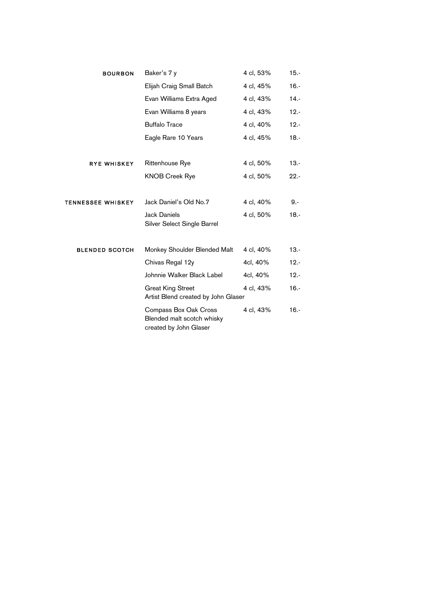| <b>BOURBON</b>           | Baker's 7 y                                                                   | 4 cl, 53% | $15. -$ |
|--------------------------|-------------------------------------------------------------------------------|-----------|---------|
|                          | Elijah Craig Small Batch                                                      | 4 cl, 45% | $16. -$ |
|                          | Evan Williams Extra Aged                                                      | 4 cl, 43% | $14. -$ |
|                          | Evan Williams 8 years                                                         | 4 cl, 43% | $12. -$ |
|                          | <b>Buffalo Trace</b>                                                          | 4 cl, 40% | $12. -$ |
|                          | Eagle Rare 10 Years                                                           | 4 cl, 45% | $18. -$ |
| <b>RYE WHISKEY</b>       | <b>Rittenhouse Rye</b>                                                        | 4 cl, 50% | $13. -$ |
|                          | <b>KNOB Creek Rye</b>                                                         | 4 cl, 50% | $22. -$ |
| <b>TENNESSEE WHISKEY</b> | Jack Daniel's Old No.7                                                        | 4 cl, 40% | 9.-     |
|                          | <b>Jack Daniels</b><br>Silver Select Single Barrel                            | 4 cl, 50% | $18. -$ |
| <b>BLENDED SCOTCH</b>    | Monkey Shoulder Blended Malt                                                  | 4 cl, 40% | $13. -$ |
|                          | Chivas Regal 12y                                                              | 4cl, 40%  | $12. -$ |
|                          | Johnnie Walker Black Label                                                    | 4cl, 40%  | $12. -$ |
|                          | <b>Great King Street</b><br>Artist Blend created by John Glaser               | 4 cl, 43% | $16. -$ |
|                          | Compass Box Oak Cross<br>Blended malt scotch whisky<br>created by John Glaser | 4 cl, 43% | $16. -$ |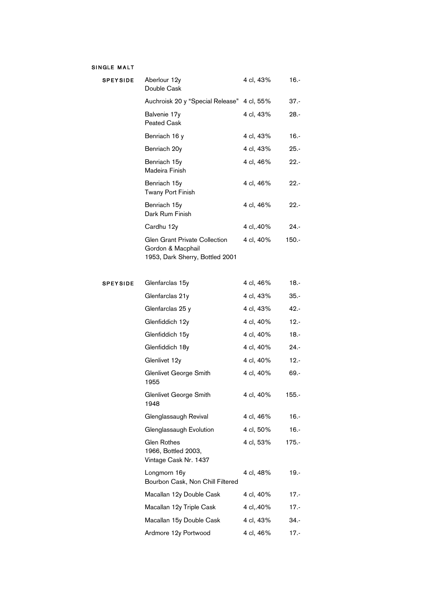#### SINGLE MALT

| <b>SPEYSIDE</b> | Aberlour 12y<br>Double Cask                                                           | 4 cl, 43% | $16. -$  |
|-----------------|---------------------------------------------------------------------------------------|-----------|----------|
|                 | Auchroisk 20 y "Special Release"                                                      | 4 cl, 55% | $37 -$   |
|                 | Balvenie 17y<br>Peated Cask                                                           | 4 cl, 43% | $28. -$  |
|                 | Benriach 16 y                                                                         | 4 cl, 43% | $16. -$  |
|                 | Benriach 20y                                                                          | 4 cl, 43% | $25. -$  |
|                 | Benriach 15y<br>Madeira Finish                                                        | 4 cl, 46% | $22 -$   |
|                 | Benriach 15y<br>Twany Port Finish                                                     | 4 cl, 46% | $22 -$   |
|                 | Benriach 15y<br>Dark Rum Finish                                                       | 4 cl, 46% | $22. -$  |
|                 | Cardhu 12y                                                                            | 4 cl,.40% | $24. -$  |
|                 | Glen Grant Private Collection<br>Gordon & Macphail<br>1953, Dark Sherry, Bottled 2001 | 4 cl, 40% | $150. -$ |
| <b>SPEYSIDE</b> | Glenfarclas 15y                                                                       | 4 cl, 46% | $18. -$  |
|                 | Glenfarclas 21y                                                                       | 4 cl, 43% | $35. -$  |
|                 | Glenfarclas 25 y                                                                      | 4 cl, 43% | $42. -$  |
|                 | Glenfiddich 12y                                                                       | 4 cl, 40% | $12. -$  |
|                 | Glenfiddich 15y                                                                       | 4 cl, 40% | $18. -$  |
|                 | Glenfiddich 18y                                                                       | 4 cl, 40% | $24. -$  |
|                 | Glenlivet 12y                                                                         | 4 cl, 40% | $12. -$  |
|                 | Glenlivet George Smith<br>1955                                                        | 4 cl, 40% | $69. -$  |
|                 | Glenlivet George Smith<br>1948                                                        | 4 cl, 40% | $155. -$ |
|                 | Glenglassaugh Revival                                                                 | 4 cl, 46% | $16. -$  |
|                 | Glenglassaugh Evolution                                                               | 4 cl, 50% | $16. -$  |
|                 | Glen Rothes<br>1966, Bottled 2003,<br>Vintage Cask Nr. 1437                           | 4 cl, 53% | $175. -$ |
|                 | Longmorn 16y<br>Bourbon Cask, Non Chill Filtered                                      | 4 cl, 48% | $19. -$  |
|                 | Macallan 12y Double Cask                                                              | 4 cl, 40% | $17. -$  |
|                 | Macallan 12y Triple Cask                                                              | 4 cl,.40% | $17 -$   |
|                 | Macallan 15y Double Cask                                                              | 4 cl, 43% | $34. -$  |
|                 | Ardmore 12y Portwood                                                                  | 4 cl, 46% | 17.-     |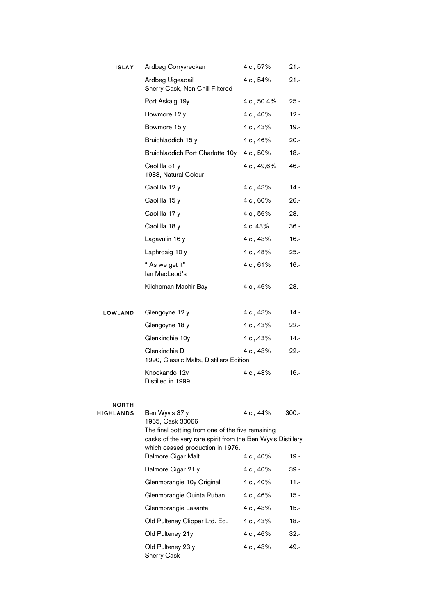| <b>ISLAY</b>              | Ardbeg Corryvreckan                                                                             | 4 cl, 57%   | $21 -$  |
|---------------------------|-------------------------------------------------------------------------------------------------|-------------|---------|
|                           | Ardbeg Uigeadail<br>Sherry Cask, Non Chill Filtered                                             | 4 cl, 54%   | $21 -$  |
|                           | Port Askaig 19y                                                                                 | 4 cl, 50.4% | $25. -$ |
|                           | Bowmore 12 y                                                                                    | 4 cl, 40%   | $12. -$ |
|                           | Bowmore 15 y                                                                                    | 4 cl, 43%   | $19. -$ |
|                           | Bruichladdich 15 y                                                                              | 4 cl, 46%   | $20. -$ |
|                           | Bruichladdich Port Charlotte 10y                                                                | 4 cl, 50%   | $18. -$ |
|                           | Caol lla 31 y<br>1983, Natural Colour                                                           | 4 cl, 49,6% | $46. -$ |
|                           | Caol lla 12 y                                                                                   | 4 cl, 43%   | $14. -$ |
|                           | Caol lla 15 y                                                                                   | 4 cl, 60%   | $26. -$ |
|                           | Caol lla 17 y                                                                                   | 4 cl, 56%   | $28. -$ |
|                           | Caol lla 18 y                                                                                   | 4 cl 43%    | $36. -$ |
|                           | Lagavulin 16 y                                                                                  | 4 cl, 43%   | $16. -$ |
|                           | Laphroaig 10 y                                                                                  | 4 cl, 48%   | $25. -$ |
|                           | " As we get it"<br>lan MacLeod's                                                                | 4 cl, 61%   | $16. -$ |
|                           | Kilchoman Machir Bay                                                                            | 4 cl, 46%   | 28.-    |
| LOWLAND                   | Glengoyne 12 y                                                                                  | 4 cl, 43%   | 14.-    |
|                           | Glengoyne 18 y                                                                                  | 4 cl, 43%   | $22 -$  |
|                           | Glenkinchie 10y                                                                                 | 4 cl,.43%   | $14. -$ |
|                           | Glenkinchie D<br>1990, Classic Malts, Distillers Edition                                        | 4 cl, 43%   | $22. -$ |
|                           | Knockando 12y<br>Distilled in 1999                                                              | 4 cl, 43%   | 16.-    |
| <b>NORTH</b><br>HIGHLANDS | Ben Wyvis 37 y<br>1965, Cask 30066<br>The final bottling from one of the five remaining         | 4 cl, 44%   | 300.-   |
|                           | casks of the very rare spirit from the Ben Wyvis Distillery<br>which ceased production in 1976. |             |         |
|                           | Dalmore Cigar Malt                                                                              | 4 cl, 40%   | $19. -$ |
|                           | Dalmore Cigar 21 y                                                                              | 4 cl, 40%   | 39.-    |
|                           | Glenmorangie 10y Original                                                                       | 4 cl, 40%   | $11 -$  |
|                           | Glenmorangie Quinta Ruban                                                                       | 4 cl, 46%   | $15. -$ |
|                           | Glenmorangie Lasanta                                                                            | 4 cl, 43%   | $15. -$ |
|                           | Old Pulteney Clipper Ltd. Ed.                                                                   | 4 cl, 43%   | $18. -$ |
|                           | Old Pulteney 21y                                                                                | 4 cl, 46%   | $32 -$  |
|                           | Old Pulteney 23 y<br><b>Sherry Cask</b>                                                         | 4 cl, 43%   | $49. -$ |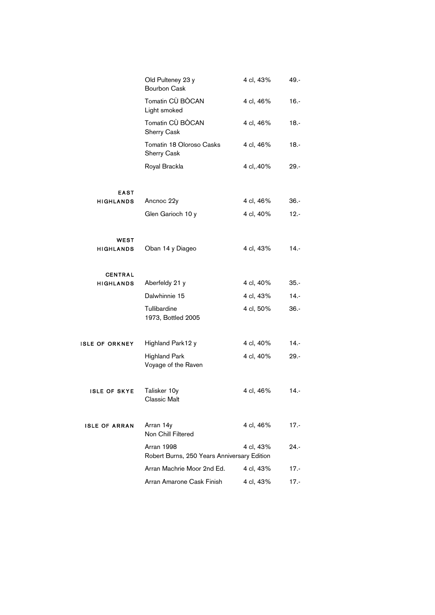|                       | Old Pulteney 23 y<br><b>Bourbon Cask</b>                  | 4 cl, 43% | 49.-    |
|-----------------------|-----------------------------------------------------------|-----------|---------|
|                       | Tomatin CÙ BÒCAN<br>Light smoked                          | 4 cl, 46% | $16. -$ |
|                       | Tomatin CÙ BÒCAN<br>Sherry Cask                           | 4 cl, 46% | $18. -$ |
|                       | Tomatin 18 Oloroso Casks<br>Sherry Cask                   | 4 cl, 46% | $18. -$ |
|                       | Royal Brackla                                             | 4 cl,.40% | 29.-    |
| <b>EAST</b>           |                                                           |           |         |
| <b>HIGHLANDS</b>      | Ancnoc 22y                                                | 4 cl, 46% | $36. -$ |
|                       | Glen Garioch 10 y                                         | 4 cl, 40% | $12. -$ |
| WEST                  |                                                           |           |         |
| <b>HIGHLANDS</b>      | Oban 14 y Diageo                                          | 4 cl, 43% | $14. -$ |
| <b>CENTRAL</b>        |                                                           |           |         |
| <b>HIGHLANDS</b>      | Aberfeldy 21 y                                            | 4 cl, 40% | $35. -$ |
|                       | Dalwhinnie 15                                             | 4 cl, 43% | $14. -$ |
|                       | Tullibardine<br>1973, Bottled 2005                        | 4 cl, 50% | $36. -$ |
| <b>ISLE OF ORKNEY</b> | Highland Park12 y                                         | 4 cl, 40% | 14.-    |
|                       | <b>Highland Park</b><br>Voyage of the Raven               | 4 cl, 40% | $29. -$ |
| <b>ISLE OF SKYE</b>   | Talisker 10y<br>Classic Malt                              | 4 cl, 46% | $14. -$ |
| <b>ISLE OF ARRAN</b>  | Arran 14y<br>Non Chill Filtered                           | 4 cl, 46% | $17 -$  |
|                       | Arran 1998<br>Robert Burns, 250 Years Anniversary Edition | 4 cl, 43% | 24.-    |
|                       | Arran Machrie Moor 2nd Ed.                                | 4 cl, 43% | $17 -$  |
|                       | Arran Amarone Cask Finish                                 | 4 cl, 43% | $17 -$  |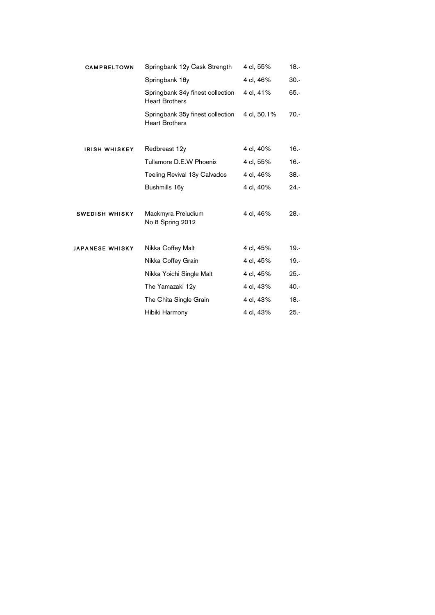| <b>CAMPBELTOWN</b>     | Springbank 12y Cask Strength                              | 4 cl, 55%   | $18. -$ |
|------------------------|-----------------------------------------------------------|-------------|---------|
|                        | Springbank 18y                                            | 4 cl, 46%   | $30. -$ |
|                        | Springbank 34y finest collection<br><b>Heart Brothers</b> | 4 cl, 41%   | $65. -$ |
|                        | Springbank 35y finest collection<br><b>Heart Brothers</b> | 4 cl, 50.1% | $70. -$ |
| <b>IRISH WHISKEY</b>   | Redbreast 12y                                             | 4 cl, 40%   | $16. -$ |
|                        | Tullamore D.E.W Phoenix                                   | 4 cl, 55%   | $16. -$ |
|                        | Teeling Revival 13y Calvados                              | 4 cl, 46%   | $38. -$ |
|                        | Bushmills 16y                                             | 4 cl, 40%   | $24. -$ |
| <b>SWEDISH WHISKY</b>  | Mackmyra Preludium<br>No 8 Spring 2012                    | 4 cl, 46%   | $28. -$ |
| <b>JAPANESE WHISKY</b> | Nikka Coffey Malt                                         | 4 cl, 45%   | $19. -$ |
|                        | Nikka Coffey Grain                                        | 4 cl, 45%   | $19. -$ |
|                        | Nikka Yoichi Single Malt                                  | 4 cl, 45%   | $25. -$ |
|                        | The Yamazaki 12y                                          | 4 cl, 43%   | $40. -$ |
|                        | The Chita Single Grain                                    | 4 cl, 43%   | $18. -$ |
|                        | Hibiki Harmony                                            | 4 cl, 43%   | $25. -$ |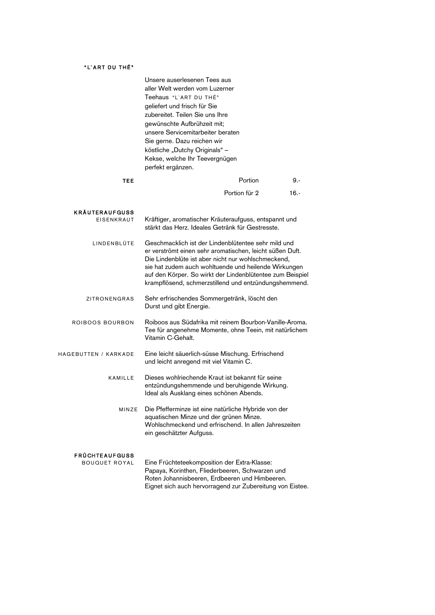#### "L'ART DU THÉ"

|                                               | Unsere auserlesenen Tees aus<br>aller Welt werden vom Luzerner<br>Teehaus "L'ART DU THÉ"<br>geliefert und frisch für Sie<br>zubereitet. Teilen Sie uns Ihre<br>gewünschte Aufbrühzeit mit;<br>unsere Servicemitarbeiter beraten<br>Sie gerne. Dazu reichen wir<br>köstliche "Dutchy Originals" -<br>Kekse, welche Ihr Teevergnügen<br>perfekt ergänzen. |               |         |
|-----------------------------------------------|---------------------------------------------------------------------------------------------------------------------------------------------------------------------------------------------------------------------------------------------------------------------------------------------------------------------------------------------------------|---------------|---------|
| TEE                                           |                                                                                                                                                                                                                                                                                                                                                         | Portion       | 9.-     |
|                                               |                                                                                                                                                                                                                                                                                                                                                         | Portion für 2 | $16. -$ |
| <b>KRÄUTERAUFGUSS</b><br><b>EISENKRAUT</b>    | Kräftiger, aromatischer Kräuteraufguss, entspannt und<br>stärkt das Herz. Ideales Getränk für Gestresste.                                                                                                                                                                                                                                               |               |         |
| LINDENBLÜTE                                   | Geschmacklich ist der Lindenblütentee sehr mild und<br>er verströmt einen sehr aromatischen, leicht süßen Duft.<br>Die Lindenblüte ist aber nicht nur wohlschmeckend,<br>sie hat zudem auch wohltuende und heilende Wirkungen<br>auf den Körper. So wirkt der Lindenblütentee zum Beispiel<br>krampflösend, schmerzstillend und entzündungshemmend.     |               |         |
| <b>ZITRONENGRAS</b>                           | Sehr erfrischendes Sommergetränk, löscht den<br>Durst und gibt Energie.                                                                                                                                                                                                                                                                                 |               |         |
| ROIBOOS BOURBON                               | Roiboos aus Südafrika mit reinem Bourbon-Vanille-Aroma.<br>Tee für angenehme Momente, ohne Teein, mit natürlichem<br>Vitamin C-Gehalt.                                                                                                                                                                                                                  |               |         |
| HAGEBUTTEN / KARKADE                          | Eine leicht säuerlich-süsse Mischung. Erfrischend<br>und leicht anregend mit viel Vitamin C.                                                                                                                                                                                                                                                            |               |         |
| KAMILLE                                       | Dieses wohlriechende Kraut ist bekannt für seine<br>entzündungshemmende und beruhigende Wirkung.<br>Ideal als Ausklang eines schönen Abends.                                                                                                                                                                                                            |               |         |
| MINZE                                         | Die Pfefferminze ist eine natürliche Hybride von der<br>aquatischen Minze und der grünen Minze.<br>Wohlschmeckend und erfrischend. In allen Jahreszeiten<br>ein geschätzter Aufguss.                                                                                                                                                                    |               |         |
| <b>FRÜCHTEAUFGUSS</b><br><b>BOUQUET ROYAL</b> | Eine Früchteteekomposition der Extra-Klasse:<br>Papaya, Korinthen, Fliederbeeren, Schwarzen und<br>Roten Johannisbeeren, Erdbeeren und Himbeeren.<br>Eignet sich auch hervorragend zur Zubereitung von Eistee.                                                                                                                                          |               |         |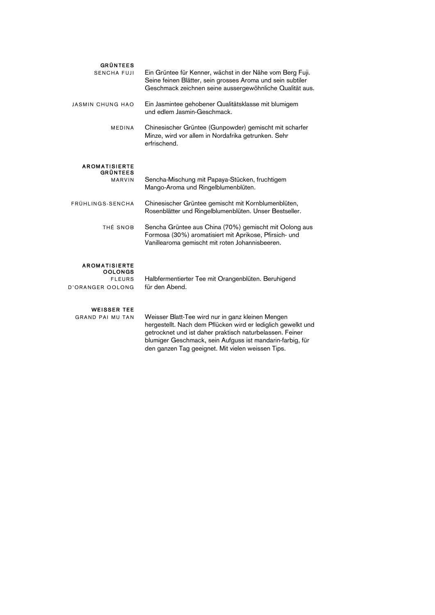| <b>GRÜNTEES</b><br><b>SENCHA FUJI</b>                                              | Ein Grüntee für Kenner, wächst in der Nähe vom Berg Fuji.<br>Seine feinen Blätter, sein grosses Aroma und sein subtiler<br>Geschmack zeichnen seine aussergewöhnliche Qualität aus. |
|------------------------------------------------------------------------------------|-------------------------------------------------------------------------------------------------------------------------------------------------------------------------------------|
| JASMIN CHUNG HAO                                                                   | Ein Jasmintee gehobener Qualitätsklasse mit blumigem<br>und edlem Jasmin-Geschmack.                                                                                                 |
| <b>MEDINA</b>                                                                      | Chinesischer Grüntee (Gunpowder) gemischt mit scharfer<br>Minze, wird vor allem in Nordafrika getrunken. Sehr<br>erfrischend.                                                       |
| <b>AROMATISIERTE</b><br><b>GRÜNTEES</b><br><b>MARVIN</b>                           | Sencha-Mischung mit Papaya-Stücken, fruchtigem<br>Mango-Aroma und Ringelblumenblüten.                                                                                               |
| FRÜHLINGS-SENCHA                                                                   | Chinesischer Grüntee gemischt mit Kornblumenblüten,<br>Rosenblätter und Ringelblumenblüten. Unser Bestseller.                                                                       |
| THÉ SNOB                                                                           | Sencha Grüntee aus China (70%) gemischt mit Oolong aus<br>Formosa (30%) aromatisiert mit Aprikose, Pfirsich- und<br>Vanillearoma gemischt mit roten Johannisbeeren.                 |
| <b>AROMATISIERTE</b><br><b>OOLONGS</b><br><b>FLEURS</b><br><b>D'ORANGER OOLONG</b> | Halbfermentierter Tee mit Orangenblüten. Beruhigend<br>für den Abend.                                                                                                               |
| <b>WEISSER TEE</b><br>GRAND PAI MU TAN                                             | Weisser Blatt-Tee wird nur in ganz kleinen Mengen<br>hergestellt. Nach dem Pflücken wird er lediglich gewelkt und                                                                   |

getrocknet und ist daher praktisch naturbelassen. Feiner blumiger Geschmack, sein Aufguss ist mandarin-farbig, für

den ganzen Tag geeignet. Mit vielen weissen Tips.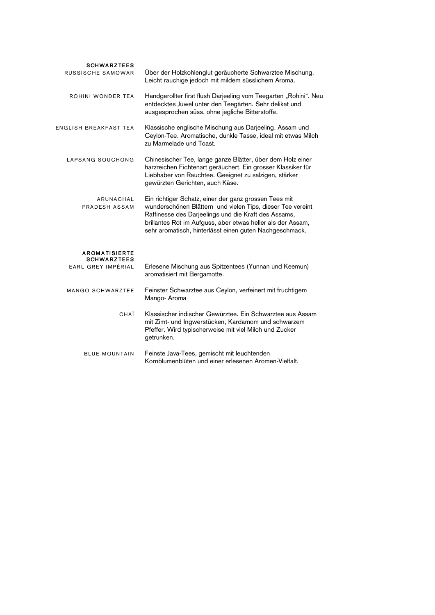| <b>SCHWARZTEES</b><br>RUSSISCHE SAMOWAR  | Über der Holzkohlenglut geräucherte Schwarztee Mischung.<br>Leicht rauchige jedoch mit mildem süsslichem Aroma.                                                                                                                                                                                       |
|------------------------------------------|-------------------------------------------------------------------------------------------------------------------------------------------------------------------------------------------------------------------------------------------------------------------------------------------------------|
| ROHINI WONDER TEA                        | Handgerollter first flush Darjeeling vom Teegarten "Rohini". Neu<br>entdecktes Juwel unter den Teegärten. Sehr delikat und<br>ausgesprochen süss, ohne jegliche Bitterstoffe.                                                                                                                         |
| ENGLISH BREAKFAST TEA                    | Klassische englische Mischung aus Darjeeling, Assam und<br>Ceylon-Tee. Aromatische, dunkle Tasse, ideal mit etwas Milch<br>zu Marmelade und Toast.                                                                                                                                                    |
| LAPSANG SOUCHONG                         | Chinesischer Tee, lange ganze Blätter, über dem Holz einer<br>harzreichen Fichtenart geräuchert. Ein grosser Klassiker für<br>Liebhaber von Rauchtee. Geeignet zu salzigen, stärker<br>gewürzten Gerichten, auch Käse.                                                                                |
| ARUNACHAL<br>PRADESH ASSAM               | Ein richtiger Schatz, einer der ganz grossen Tees mit<br>wunderschönen Blättern und vielen Tips, dieser Tee vereint<br>Raffinesse des Darjeelings und die Kraft des Assams,<br>brillantes Rot im Aufguss, aber etwas heller als der Assam,<br>sehr aromatisch, hinterlässt einen guten Nachgeschmack. |
| <b>AROMATISIERTE</b>                     |                                                                                                                                                                                                                                                                                                       |
| <b>SCHWARZTEES</b><br>EARL GREY IMPÉRIAL | Erlesene Mischung aus Spitzentees (Yunnan und Keemun)<br>aromatisiert mit Bergamotte.                                                                                                                                                                                                                 |
| <b>MANGO SCHWARZTEE</b>                  | Feinster Schwarztee aus Ceylon, verfeinert mit fruchtigem<br>Mango- Aroma                                                                                                                                                                                                                             |
| CHAÏ                                     | Klassischer indischer Gewürztee. Ein Schwarztee aus Assam<br>mit Zimt- und Ingwerstücken, Kardamom und schwarzem<br>Pfeffer. Wird typischerweise mit viel Milch und Zucker<br>getrunken.                                                                                                              |
| <b>BLUE MOUNTAIN</b>                     | Feinste Java-Tees, gemischt mit leuchtenden<br>Kornblumenblüten und einer erlesenen Aromen-Vielfalt.                                                                                                                                                                                                  |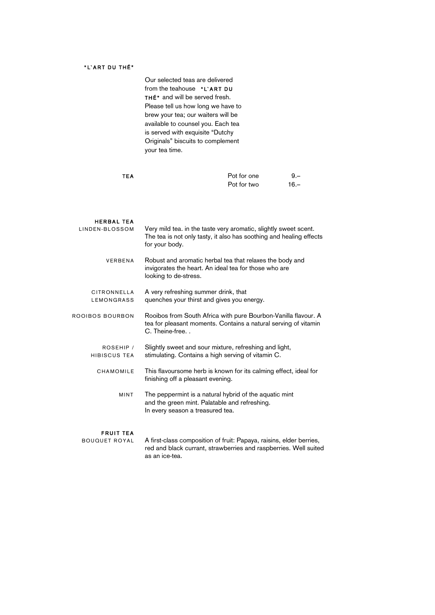#### "L'ART DU THÉ"

Our selected teas are delivered from the teahouse "L'ART DU THÉ<sup>\*</sup> and will be served fresh. Please tell us how long we have to brew your tea; our waiters will be available to counsel you. Each tea is served with exquisite "Dutchy Originals" biscuits to complement your tea time.

| <b>TEA</b> | Pot for one | $9 -$  |
|------------|-------------|--------|
|            | Pot for two | $16 -$ |

| <b>HERBAL TEA</b><br>LINDEN-BLOSSOM | Very mild tea. in the taste very aromatic, slightly sweet scent.<br>The tea is not only tasty, it also has soothing and healing effects<br>for your body. |
|-------------------------------------|-----------------------------------------------------------------------------------------------------------------------------------------------------------|
| VERBENA                             | Robust and aromatic herbal tea that relaxes the body and<br>invigorates the heart. An ideal tea for those who are<br>looking to de-stress.                |
| CITRONNELLA<br>LEMONGRASS           | A very refreshing summer drink, that<br>quenches your thirst and gives you energy.                                                                        |
| <b>ROOIBOS BOURBON</b>              | Rooibos from South Africa with pure Bourbon-Vanilla flavour. A<br>tea for pleasant moments. Contains a natural serving of vitamin<br>C. Theine-free       |
| ROSEHIP /<br>HIBISCUS TEA           | Slightly sweet and sour mixture, refreshing and light,<br>stimulating. Contains a high serving of vitamin C.                                              |
| CHAMOMILE                           | This flavoursome herb is known for its calming effect, ideal for<br>finishing off a pleasant evening.                                                     |
| <b>MINT</b>                         | The peppermint is a natural hybrid of the aquatic mint<br>and the green mint. Palatable and refreshing.<br>In every season a treasured tea.               |

#### **FRUIT TEA**

BOUQUET ROYAL A first-class composition of fruit: Papaya, raisins, elder berries, red and black currant, strawberries and raspberries. Well suited as an ice-tea.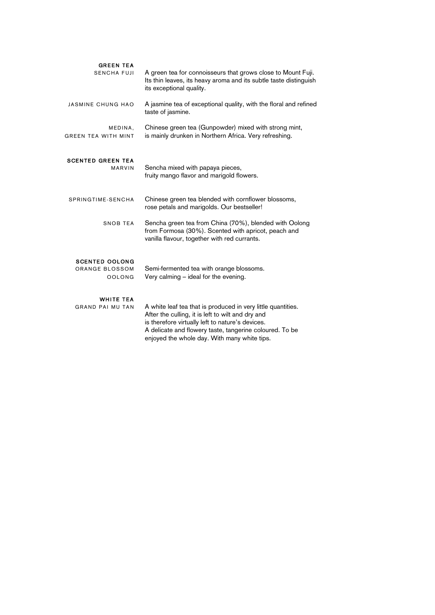| <b>GREEN TEA</b><br><b>SENCHA FUJI</b>                   | A green tea for connoisseurs that grows close to Mount Fuji.<br>Its thin leaves, its heavy aroma and its subtle taste distinguish<br>its exceptional quality.                                                                                                                    |
|----------------------------------------------------------|----------------------------------------------------------------------------------------------------------------------------------------------------------------------------------------------------------------------------------------------------------------------------------|
| JASMINE CHUNG HAO                                        | A jasmine tea of exceptional quality, with the floral and refined<br>taste of jasmine.                                                                                                                                                                                           |
| MEDINA,<br><b>GREEN TEA WITH MINT</b>                    | Chinese green tea (Gunpowder) mixed with strong mint,<br>is mainly drunken in Northern Africa. Very refreshing.                                                                                                                                                                  |
| <b>SCENTED GREEN TEA</b><br><b>MARVIN</b>                | Sencha mixed with papaya pieces,<br>fruity mango flavor and marigold flowers.                                                                                                                                                                                                    |
| SPRINGTIME-SENCHA                                        | Chinese green tea blended with cornflower blossoms,<br>rose petals and marigolds. Our bestseller!                                                                                                                                                                                |
| <b>SNOB TEA</b>                                          | Sencha green tea from China (70%), blended with Oolong<br>from Formosa (30%). Scented with apricot, peach and<br>vanilla flavour, together with red currants.                                                                                                                    |
| <b>SCENTED OOLONG</b><br>ORANGE BLOSSOM<br><b>OOLONG</b> | Semi-fermented tea with orange blossoms.<br>Very calming $-$ ideal for the evening.                                                                                                                                                                                              |
| <b>WHITE TEA</b><br><b>GRAND PAI MU TAN</b>              | A white leaf tea that is produced in very little quantities.<br>After the culling, it is left to wilt and dry and<br>is therefore virtually left to nature's devices.<br>A delicate and flowery taste, tangerine coloured. To be<br>enjoyed the whole day. With many white tips. |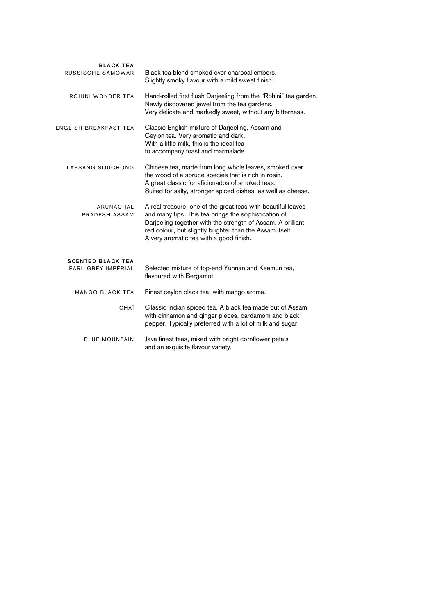| <b>BLACK TEA</b><br>RUSSISCHE SAMOWAR          | Black tea blend smoked over charcoal embers.<br>Slightly smoky flavour with a mild sweet finish.                                                                                                                                                                                           |
|------------------------------------------------|--------------------------------------------------------------------------------------------------------------------------------------------------------------------------------------------------------------------------------------------------------------------------------------------|
| ROHINI WONDER TEA                              | Hand-rolled first flush Darjeeling from the "Rohini" tea garden.<br>Newly discovered jewel from the tea gardens.<br>Very delicate and markedly sweet, without any bitterness.                                                                                                              |
| ENGLISH BREAKFAST TEA                          | Classic English mixture of Darjeeling, Assam and<br>Ceylon tea. Very aromatic and dark.<br>With a little milk, this is the ideal tea<br>to accompany toast and marmalade.                                                                                                                  |
| LAPSANG SOUCHONG                               | Chinese tea, made from long whole leaves, smoked over<br>the wood of a spruce species that is rich in rosin.<br>A great classic for aficionados of smoked teas.<br>Suited for salty, stronger spiced dishes, as well as cheese.                                                            |
| ARUNACHAL<br>PRADESH ASSAM                     | A real treasure, one of the great teas with beautiful leaves<br>and many tips. This tea brings the sophistication of<br>Darjeeling together with the strength of Assam. A brilliant<br>red colour, but slightly brighter than the Assam itself.<br>A very aromatic tea with a good finish. |
| <b>SCENTED BLACK TEA</b><br>EARL GREY IMPÉRIAL | Selected mixture of top-end Yunnan and Keemun tea,<br>flavoured with Bergamot.                                                                                                                                                                                                             |
| <b>MANGO BLACK TEA</b>                         | Finest ceylon black tea, with mango aroma.                                                                                                                                                                                                                                                 |
| CHAÏ                                           | Classic Indian spiced tea. A black tea made out of Assam<br>with cinnamon and ginger pieces, cardamom and black<br>pepper. Typically preferred with a lot of milk and sugar.                                                                                                               |
| <b>BLUE MOUNTAIN</b>                           | Java finest teas, mixed with bright cornflower petals<br>and an exquisite flavour variety.                                                                                                                                                                                                 |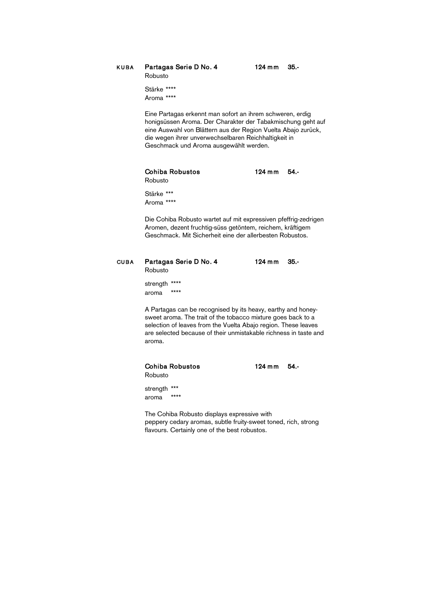KUBA Partagas Serie D No. 4 124 mm 35.-Robusto

Stärke \*\*\*\* Aroma \*\*\*\*

Eine Partagas erkennt man sofort an ihrem schweren, erdig honigsüssen Aroma. Der Charakter der Tabakmischung geht auf eine Auswahl von Blättern aus der Region Vuelta Abajo zurück, die wegen ihrer unverwechselbaren Reichhaltigkeit in Geschmack und Aroma ausgewählt werden.

### Cohiba Robustos **124 mm** 54.-

Robusto

Stärke \*\*\* Aroma \*\*\*\*

Die Cohiba Robusto wartet auf mit expressiven pfeffrig-zedrigen Aromen, dezent fruchtig-süss getöntem, reichem, kräftigem Geschmack. Mit Sicherheit eine der allerbesten Robustos.

| <b>CUBA</b> | Partagas Serie D No. 4<br>Robusto                                                                                                                                                                                                                                  | 35.-<br>$124 \text{ mm}$ |
|-------------|--------------------------------------------------------------------------------------------------------------------------------------------------------------------------------------------------------------------------------------------------------------------|--------------------------|
|             | ****<br>strength<br>$***$<br>aroma                                                                                                                                                                                                                                 |                          |
|             | A Partagas can be recognised by its heavy, earthy and honey-<br>sweet aroma. The trait of the tobacco mixture goes back to a<br>selection of leaves from the Vuelta Abajo region. These leaves<br>are selected because of their unmistakable richness in taste and |                          |

aroma.

#### Cohiba Robustos 124 mm 54.-

strength \*\*\* aroma \*\*\*\*

Robusto

The Cohiba Robusto displays expressive with peppery cedary aromas, subtle fruity-sweet toned, rich, strong flavours. Certainly one of the best robustos.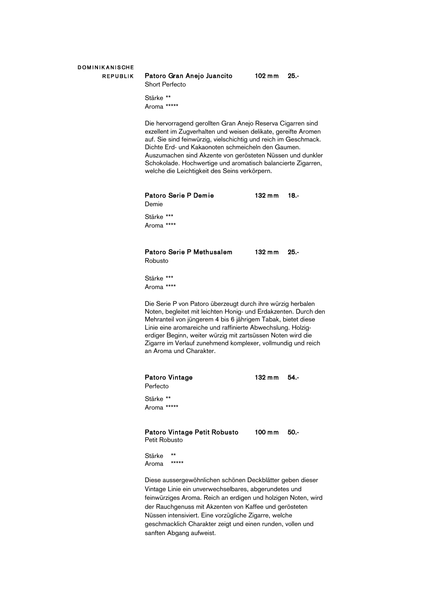## **DOMINIKANISCHE**

#### REPUBLIK Patoro Gran Anejo Juancito 102 mm 25.-Short Perfecto

Stärke \*\* Aroma \*\*\*\*\*

Die hervorragend gerollten Gran Anejo Reserva Cigarren sind exzellent im Zugverhalten und weisen delikate, gereifte Aromen auf. Sie sind feinwürzig, vielschichtig und reich im Geschmack. Dichte Erd- und Kakaonoten schmeicheln den Gaumen. Auszumachen sind Akzente von gerösteten Nüssen und dunkler Schokolade. Hochwertige und aromatisch balancierte Zigarren, welche die Leichtigkeit des Seins verkörpern.

| Patoro Serie P Demie | 132 mm 18. |  |
|----------------------|------------|--|
| Demie                |            |  |
| Stärke ***           |            |  |

Stärke Aroma \*\*\*\*

#### Patoro Serie P Methusalem 132 mm 25.-Robusto

Stärke \*\*\*

Aroma \*\*\*\*

Die Serie P von Patoro überzeugt durch ihre würzig herbalen Noten, begleitet mit leichten Honig- und Erdakzenten. Durch den Mehranteil von jüngerem 4 bis 6 jährigem Tabak, bietet diese Linie eine aromareiche und raffinierte Abwechslung. Holzigerdiger Beginn, weiter würzig mit zartsüssen Noten wird die Zigarre im Verlauf zunehmend komplexer, vollmundig und reich an Aroma und Charakter.

#### Patoro Vintage 132 mm 54.-

Perfecto

Stärke \*\* Aroma \*\*\*\*\*

#### Patoro Vintage Petit Robusto 100 mm 50.-Petit Robusto

Stärke \*\* Aroma \*\*\*\*\*

Diese aussergewöhnlichen schönen Deckblätter geben dieser Vintage Linie ein unverwechselbares, abgerundetes und feinwürziges Aroma. Reich an erdigen und holzigen Noten, wird der Rauchgenuss mit Akzenten von Kaffee und gerösteten Nüssen intensiviert. Eine vorzügliche Zigarre, welche geschmacklich Charakter zeigt und einen runden, vollen und sanften Abgang aufweist.